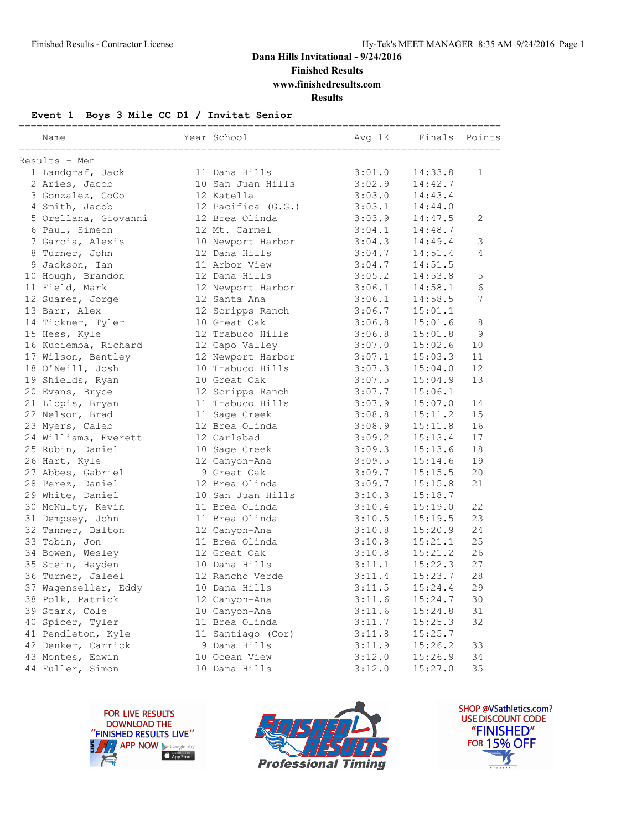**Finished Results**

**www.finishedresults.com**

**Results**

#### **Event 1 Boys 3 Mile CC D1 / Invitat Senior**

| Name                 | Year School        | Avg 1K | Finals Points |             |
|----------------------|--------------------|--------|---------------|-------------|
| Results - Men        |                    |        |               |             |
| 1 Landgraf, Jack     | 11 Dana Hills      | 3:01.0 | 14:33.8       | $\mathbf 1$ |
| 2 Aries, Jacob       | 10 San Juan Hills  | 3:02.9 | 14:42.7       |             |
| 3 Gonzalez, CoCo     | 12 Katella         | 3:03.0 | 14:43.4       |             |
| 4 Smith, Jacob       | 12 Pacifica (G.G.) | 3:03.1 | 14:44.0       |             |
| 5 Orellana, Giovanni | 12 Brea Olinda     | 3:03.9 | 14:47.5       | 2           |
| 6 Paul, Simeon       | 12 Mt. Carmel      | 3:04.1 | 14:48.7       |             |
| 7 Garcia, Alexis     | 10 Newport Harbor  | 3:04.3 | 14:49.4       | 3           |
| 8 Turner, John       | 12 Dana Hills      | 3:04.7 | 14:51.4       | 4           |
| 9 Jackson, Ian       | 11 Arbor View      | 3:04.7 | 14:51.5       |             |
| 10 Hough, Brandon    | 12 Dana Hills      | 3:05.2 | 14:53.8       | 5           |
| 11 Field, Mark       | 12 Newport Harbor  | 3:06.1 | 14:58.1       | 6           |
| 12 Suarez, Jorge     | 12 Santa Ana       | 3:06.1 | 14:58.5       | 7           |
| 13 Barr, Alex        | 12 Scripps Ranch   | 3:06.7 | 15:01.1       |             |
| 14 Tickner, Tyler    | 10 Great Oak       | 3:06.8 | 15:01.6       | 8           |
| 15 Hess, Kyle        | 12 Trabuco Hills   | 3:06.8 | 15:01.8       | 9           |
| 16 Kuciemba, Richard | 12 Capo Valley     | 3:07.0 | 15:02.6       | 10          |
| 17 Wilson, Bentley   | 12 Newport Harbor  | 3:07.1 | 15:03.3       | 11          |
| 18 O'Neill, Josh     | 10 Trabuco Hills   | 3:07.3 | 15:04.0       | 12          |
| 19 Shields, Ryan     | 10 Great Oak       | 3:07.5 | 15:04.9       | 13          |
| 20 Evans, Bryce      | 12 Scripps Ranch   | 3:07.7 | 15:06.1       |             |
| 21 Llopis, Bryan     | 11 Trabuco Hills   | 3:07.9 | 15:07.0       | 14          |
| 22 Nelson, Brad      | 11 Sage Creek      | 3:08.8 | 15:11.2       | 15          |
| 23 Myers, Caleb      | 12 Brea Olinda     | 3:08.9 | 15:11.8       | 16          |
| 24 Williams, Everett | 12 Carlsbad        | 3:09.2 | 15:13.4       | 17          |
| 25 Rubin, Daniel     | 10 Sage Creek      | 3:09.3 | 15:13.6       | 18          |
| 26 Hart, Kyle        | 12 Canyon-Ana      | 3:09.5 | 15:14.6       | 19          |
| 27 Abbes, Gabriel    | 9 Great Oak        | 3:09.7 | 15:15.5       | 20          |
| 28 Perez, Daniel     | 12 Brea Olinda     | 3:09.7 | 15:15.8       | 21          |
| 29 White, Daniel     | 10 San Juan Hills  | 3:10.3 | 15:18.7       |             |
| 30 McNulty, Kevin    | 11 Brea Olinda     | 3:10.4 | 15:19.0       | 22          |
| 31 Dempsey, John     | 11 Brea Olinda     | 3:10.5 | 15:19.5       | 23          |
| 32 Tanner, Dalton    | 12 Canyon-Ana      | 3:10.8 | 15:20.9       | 24          |
| 33 Tobin, Jon        | 11 Brea Olinda     | 3:10.8 | 15:21.1       | 25          |
| 34 Bowen, Wesley     | 12 Great Oak       | 3:10.8 | 15:21.2       | 26          |
| 35 Stein, Hayden     | 10 Dana Hills      | 3:11.1 | 15:22.3       | 27          |
| 36 Turner, Jaleel    | 12 Rancho Verde    | 3:11.4 | 15:23.7       | 28          |
| 37 Wagenseller, Eddy | 10 Dana Hills      | 3:11.5 | 15:24.4       | 29          |
| 38 Polk, Patrick     | 12 Canyon-Ana      | 3:11.6 | 15:24.7       | $30$        |
| 39 Stark, Cole       | 10 Canyon-Ana      | 3:11.6 | 15:24.8       | 31          |
| 40 Spicer, Tyler     | 11 Brea Olinda     | 3:11.7 | 15:25.3       | 32          |
| 41 Pendleton, Kyle   | 11 Santiago (Cor)  | 3:11.8 | 15:25.7       |             |
| 42 Denker, Carrick   | 9 Dana Hills       | 3:11.9 | 15:26.2       | 33          |
| 43 Montes, Edwin     | 10 Ocean View      | 3:12.0 | 15:26.9       | 34          |
| 44 Fuller, Simon     | 10 Dana Hills      | 3:12.0 | 15:27.0       | 35          |





SHOP @VSathletics.com? USE DISCOUNT CODE "FINISHED" **FOR 15% OFF** M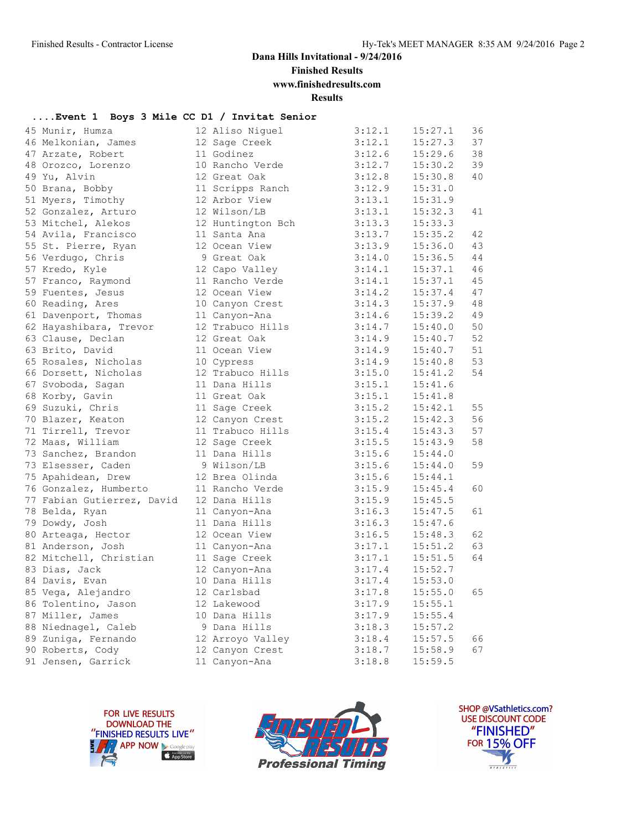**Finished Results**

**www.finishedresults.com**

**Results**

#### **....Event 1 Boys 3 Mile CC D1 / Invitat Senior**

| 45 Munir, Humza            | 12 Aliso Niguel   | 3:12.1 | 15:27.1 | 36 |
|----------------------------|-------------------|--------|---------|----|
| 46 Melkonian, James        | 12 Sage Creek     | 3:12.1 | 15:27.3 | 37 |
| 47 Arzate, Robert          | 11 Godinez        | 3:12.6 | 15:29.6 | 38 |
| 48 Orozco, Lorenzo         | 10 Rancho Verde   | 3:12.7 | 15:30.2 | 39 |
| 49 Yu, Alvin               | 12 Great Oak      | 3:12.8 | 15:30.8 | 40 |
| 50 Brana, Bobby            | 11 Scripps Ranch  | 3:12.9 | 15:31.0 |    |
| 51 Myers, Timothy          | 12 Arbor View     | 3:13.1 | 15:31.9 |    |
| 52 Gonzalez, Arturo        | 12 Wilson/LB      | 3:13.1 | 15:32.3 | 41 |
| 53 Mitchel, Alekos         | 12 Huntington Bch | 3:13.3 | 15:33.3 |    |
| 54 Avila, Francisco        | 11 Santa Ana      | 3:13.7 | 15:35.2 | 42 |
| 55 St. Pierre, Ryan        | 12 Ocean View     | 3:13.9 | 15:36.0 | 43 |
| 56 Verdugo, Chris          | 9 Great Oak       | 3:14.0 | 15:36.5 | 44 |
| 57 Kredo, Kyle             | 12 Capo Valley    | 3:14.1 | 15:37.1 | 46 |
| 57 Franco, Raymond         | 11 Rancho Verde   | 3:14.1 | 15:37.1 | 45 |
| 59 Fuentes, Jesus          | 12 Ocean View     | 3:14.2 | 15:37.4 | 47 |
| 60 Reading, Ares           | 10 Canyon Crest   | 3:14.3 | 15:37.9 | 48 |
| 61 Davenport, Thomas       | 11 Canyon-Ana     | 3:14.6 | 15:39.2 | 49 |
| 62 Hayashibara, Trevor     | 12 Trabuco Hills  | 3:14.7 | 15:40.0 | 50 |
| 63 Clause, Declan          | 12 Great Oak      | 3:14.9 | 15:40.7 | 52 |
| 63 Brito, David            | 11 Ocean View     | 3:14.9 | 15:40.7 | 51 |
| 65 Rosales, Nicholas       | 10 Cypress        | 3:14.9 | 15:40.8 | 53 |
| 66 Dorsett, Nicholas       | 12 Trabuco Hills  | 3:15.0 | 15:41.2 | 54 |
| 67 Svoboda, Sagan          | 11 Dana Hills     | 3:15.1 | 15:41.6 |    |
| 68 Korby, Gavin            | 11 Great Oak      | 3:15.1 | 15:41.8 |    |
| 69 Suzuki, Chris           | 11 Sage Creek     | 3:15.2 | 15:42.1 | 55 |
| 70 Blazer, Keaton          | 12 Canyon Crest   | 3:15.2 | 15:42.3 | 56 |
| 71 Tirrell, Trevor         | 11 Trabuco Hills  | 3:15.4 | 15:43.3 | 57 |
| 72 Maas, William           | 12 Sage Creek     | 3:15.5 | 15:43.9 | 58 |
| 73 Sanchez, Brandon        | 11 Dana Hills     | 3:15.6 | 15:44.0 |    |
| 73 Elsesser, Caden         | 9 Wilson/LB       | 3:15.6 | 15:44.0 | 59 |
| 75 Apahidean, Drew         | 12 Brea Olinda    | 3:15.6 | 15:44.1 |    |
| 76 Gonzalez, Humberto      | 11 Rancho Verde   | 3:15.9 | 15:45.4 | 60 |
| 77 Fabian Gutierrez, David | 12 Dana Hills     | 3:15.9 | 15:45.5 |    |
| 78 Belda, Ryan             | 11 Canyon-Ana     | 3:16.3 | 15:47.5 | 61 |
| 79 Dowdy, Josh             | 11 Dana Hills     | 3:16.3 | 15:47.6 |    |
| 80 Arteaga, Hector         | 12 Ocean View     | 3:16.5 | 15:48.3 | 62 |
| 81 Anderson, Josh          | 11 Canyon-Ana     | 3:17.1 | 15:51.2 | 63 |
| 82 Mitchell, Christian     | 11 Sage Creek     | 3:17.1 | 15:51.5 | 64 |
| 83 Dias, Jack              | 12 Canyon-Ana     | 3:17.4 | 15:52.7 |    |
| 84 Davis, Evan             | 10 Dana Hills     | 3:17.4 | 15:53.0 |    |
| 85 Vega, Alejandro         | 12 Carlsbad       | 3:17.8 | 15:55.0 | 65 |
| 86 Tolentino, Jason        | 12 Lakewood       | 3:17.9 | 15:55.1 |    |
| 87 Miller, James           | 10 Dana Hills     | 3:17.9 | 15:55.4 |    |
| 88 Niednagel, Caleb        | 9 Dana Hills      | 3:18.3 | 15:57.2 |    |
| 89 Zuniga, Fernando        | 12 Arroyo Valley  | 3:18.4 | 15:57.5 | 66 |
| 90 Roberts, Cody           | 12 Canyon Crest   | 3:18.7 | 15:58.9 | 67 |
| 91 Jensen, Garrick         | 11 Canyon-Ana     | 3:18.8 | 15:59.5 |    |
|                            |                   |        |         |    |





SHOP @VSathletics.com? USE DISCOUNT CODE "FINISHED" **FOR 15% OFF** M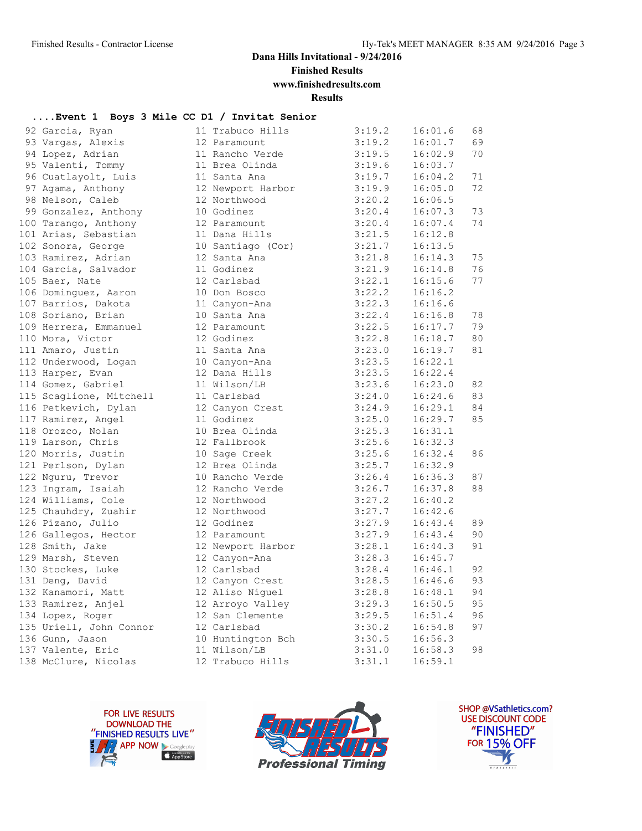**Finished Results**

# **www.finishedresults.com**

**Results**

#### **....Event 1 Boys 3 Mile CC D1 / Invitat Senior**

| 92 Garcia, Ryan                            | 11 Trabuco Hills                    | 3:19.2                         | 16:01.6            | 68       |
|--------------------------------------------|-------------------------------------|--------------------------------|--------------------|----------|
| 93 Vargas, Alexis                          | 12 Paramount                        | 3:19.2                         | 16:01.7            | 69       |
| 94 Lopez, Adrian                           | 11 Rancho Verde                     | 3:19.5                         | 16:02.9            | 70       |
| 95 Valenti, Tommy                          | 11 Brea Olinda                      | 3:19.5<br>3:19.6               | 16:03.7            |          |
| 96 Cuatlayolt, Luis                        | 11 Santa Ana                        | 3:19.7                         | 16:04.2            | 71       |
| 97 Agama, Anthony                          | 12 Newport Harbor                   | 3:19.9                         | 16:05.0            | 72       |
| 98 Nelson, Caleb                           | 12 Northwood                        | 3:20.2                         | 16:06.5            |          |
| 99 Gonzalez, Anthony                       | 10 Godinez                          | 3:20.4                         | 16:07.3            | 73       |
| 100 Tarango, Anthony                       | 12 Paramount                        | 3:20.4                         | 16:07.4            | 74       |
| 101 Arias, Sebastian                       | 11 Dana Hills                       | 3:21.5                         | 16:12.8            |          |
| 102 Sonora, George                         | 10 Santiago (Cor)                   | 3:21.7                         | 16:13.5            |          |
| 103 Ramirez, Adrian                        | 12 Santa Ana                        | 3:21.8                         | 16:14.3            | 75       |
| 104 Garcia, Salvador                       | 11 Godinez                          | 3:21.9                         | 16:14.8            | 76       |
| 105 Baer, Nate                             | 12 Carlsbad                         | 3:22.1                         | 16:15.6            | 77       |
| 106 Dominguez, Aaron                       | 10 Don Bosco                        | 3:22.2                         | 16:16.2            |          |
| 107 Barrios, Dakota                        | 11 Canyon-Ana                       | 3:22.3                         | 16:16.6            |          |
| 108 Soriano, Brian                         | 10 Santa Ana                        | 3:22.4                         | 16:16.8            | 78       |
| 109 Herrera, Emmanuel                      | 12 Paramount                        | 3:22.5                         | 16:17.7            | 79       |
| 110 Mora, Victor                           | 12 Godinez                          | 3:22.8                         | 16:18.7            | 80       |
| 111 Amaro, Justin                          | 11 Santa Ana                        | 3:23.0                         | 16:19.7            | 81       |
| 112 Underwood, Logan                       | 10 Canyon-Ana                       | 3:23.5                         | 16:22.1            |          |
| 113 Harper, Evan                           | 12 Dana Hills                       | 3:23.5                         | 16:22.4            |          |
| 114 Gomez, Gabriel                         | 11 Wilson/LB                        | 3:23.6                         | 16:23.0            | 82       |
| 115 Scaglione, Mitchell                    | 11 Carlsbad                         | 3:24.0                         | 16:24.6            | 83       |
| 116 Petkevich, Dylan                       | 12 Canyon Crest                     | 3:24.9                         | 16:29.1            | 84       |
| 117 Ramirez, Angel                         | 11 Godinez                          | 3:25.0                         | 16:29.7            | 85       |
| 118 Orozco, Nolan                          | 10 Brea Olinda                      | 3:25.3                         | 16:31.1            |          |
| 119 Larson, Chris                          | 12 Fallbrook                        | 3:25.6                         | 16:32.3            |          |
| 120 Morris, Justin                         | 10 Sage Creek                       | 3:25.6                         | 16:32.4            | 86       |
| 121 Perlson, Dylan                         | 12 Brea Olinda                      | 3:25.7                         | 16:32.9            |          |
| 122 Nguru, Trevor                          | 10 Rancho Verde                     | 3:26.4                         | 16:36.3            | 87       |
| 123 Ingram, Isaiah                         | 12 Rancho Verde                     | 3:26.7                         | 16:37.8            | 88       |
| 124 Williams, Cole                         | 12 Northwood                        | 3:27.2                         | 16:40.2            |          |
| 125 Chauhdry, Zuahir                       | 12 Northwood                        | 3:27.7                         | 16:42.6            |          |
| 126 Pizano, Julio                          | 12 Godinez                          | 3:27.9                         | 16:43.4            | 89       |
| 126 Gallegos, Hector                       | 12 Paramount                        | 3:27.9                         | 16:43.4            | 90       |
| 128 Smith, Jake                            | 12 Newport Harbor                   | 3:28.1                         | 16:44.3            | 91       |
| 129 Marsh, Steven                          | 12 Canyon-Ana                       | 3:28.3                         | 16:45.7            |          |
| 130 Stockes, Luke                          | 12 Carlsbad                         | 3:28.4<br>3:28.5               | 16:46.1            | 92<br>93 |
| 131 Deng, David                            | 12 Canyon Crest                     | 3:28.8                         | 16:46.6<br>16:48.1 | 94       |
| 132 Kanamori, Matt<br>133 Ramirez, Anjel   | 12 Aliso Niguel                     | 3:29.3                         | 16:50.5            | 95       |
| 134 Lopez, Roger                           | 12 Arroyo Valley<br>12 San Clemente | 3:29.5                         | 16:51.4            | 96       |
|                                            | 12 Carlsbad                         | 3:30.2                         |                    | 97       |
| 135 Uriell, John Connor<br>136 Gunn, Jason | 10 Huntington Bch 3:30.5 16:56.3    |                                | 16:54.8            |          |
| 137 Valente, Eric                          | 11 Wilson/LB                        |                                | 16:58.3            | 98       |
| 138 McClure, Nicolas                       | 12 Trabuco Hills                    | $3:31.0$<br>$3:31.1$<br>3:31.1 | 16:59.1            |          |
|                                            |                                     |                                |                    |          |





SHOP @VSathletics.com? USE DISCOUNT CODE "FINISHED" **FOR 15% OFF**  $\frac{1}{\sqrt{2}}$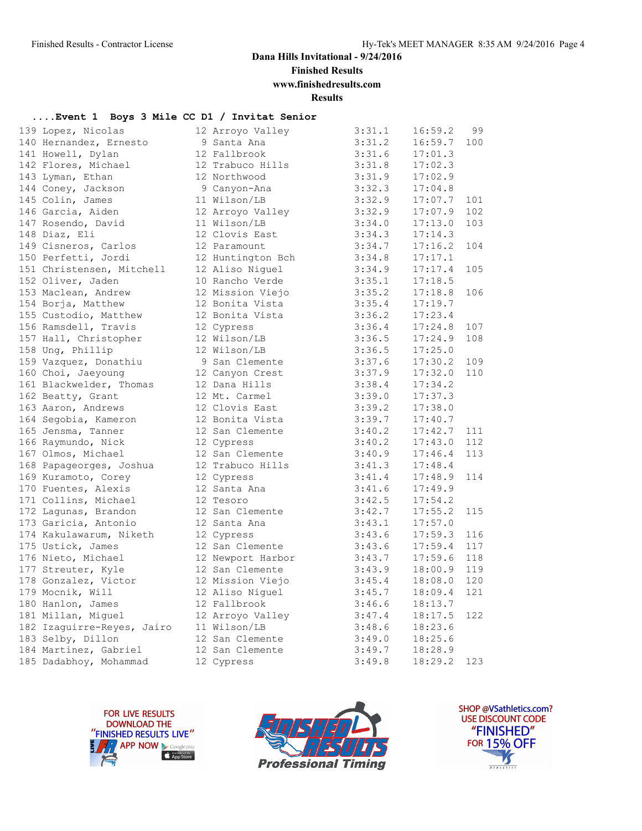**Finished Results**

**www.finishedresults.com**

**Results**

#### **....Event 1 Boys 3 Mile CC D1 / Invitat Senior**

| 139 Lopez, Nicolas         | 12 Arroyo Valley  | 3:31.1 | 16:59.2       | 99  |
|----------------------------|-------------------|--------|---------------|-----|
| 140 Hernandez, Ernesto     | 9 Santa Ana       | 3:31.2 | 16:59.7       | 100 |
| 141 Howell, Dylan          | 12 Fallbrook      | 3:31.6 | 17:01.3       |     |
| 142 Flores, Michael        | 12 Trabuco Hills  | 3:31.8 | 17:02.3       |     |
| 143 Lyman, Ethan           | 12 Northwood      | 3:31.9 | 17:02.9       |     |
| 144 Coney, Jackson         | 9 Canyon-Ana      | 3:32.3 | 17:04.8       |     |
| 145 Colin, James           | 11 Wilson/LB      | 3:32.9 | 17:07.7       | 101 |
| 146 Garcia, Aiden          | 12 Arroyo Valley  | 3:32.9 | 17:07.9       | 102 |
| 147 Rosendo, David         | 11 Wilson/LB      | 3:34.0 | 17:13.0       | 103 |
| 148 Diaz, Eli              | 12 Clovis East    | 3:34.3 | 17:14.3       |     |
| 149 Cisneros, Carlos       | 12 Paramount      | 3:34.7 | $17:16.2$ 104 |     |
| 150 Perfetti, Jordi        | 12 Huntington Bch | 3:34.8 | 17:17.1       |     |
| 151 Christensen, Mitchell  | 12 Aliso Niquel   | 3:34.9 | 17:17.4       | 105 |
| 152 Oliver, Jaden          | 10 Rancho Verde   | 3:35.1 | 17:18.5       |     |
| 153 Maclean, Andrew        | 12 Mission Viejo  | 3:35.2 | 17:18.8       | 106 |
| 154 Borja, Matthew         | 12 Bonita Vista   | 3:35.4 | 17:19.7       |     |
| 155 Custodio, Matthew      | 12 Bonita Vista   | 3:36.2 | 17:23.4       |     |
| 156 Ramsdell, Travis       | 12 Cypress        | 3:36.4 | 17:24.8       | 107 |
| 157 Hall, Christopher      | 12 Wilson/LB      | 3:36.5 | 17:24.9       | 108 |
| 158 Ung, Phillip           | 12 Wilson/LB      | 3:36.5 | 17:25.0       |     |
| 159 Vazquez, Donathiu      | 9 San Clemente    | 3:37.6 | 17:30.2       | 109 |
| 160 Choi, Jaeyoung         | 12 Canyon Crest   | 3:37.9 | 17:32.0       | 110 |
| 161 Blackwelder, Thomas    | 12 Dana Hills     | 3:38.4 | 17:34.2       |     |
| 162 Beatty, Grant          | 12 Mt. Carmel     | 3:39.0 | 17:37.3       |     |
| 163 Aaron, Andrews         | 12 Clovis East    | 3:39.2 | 17:38.0       |     |
| 164 Segobia, Kameron       | 12 Bonita Vista   | 3:39.7 | 17:40.7       |     |
| 165 Jensma, Tanner         | 12 San Clemente   | 3:40.2 | $17:42.7$ 111 |     |
| 166 Raymundo, Nick         | 12 Cypress        | 3:40.2 | 17:43.0       | 112 |
| 167 Olmos, Michael         | 12 San Clemente   | 3:40.9 | 17:46.4       | 113 |
| 168 Papageorges, Joshua    | 12 Trabuco Hills  | 3:41.3 | 17:48.4       |     |
| 169 Kuramoto, Corey        | 12 Cypress        | 3:41.4 | 17:48.9       | 114 |
| 170 Fuentes, Alexis        | 12 Santa Ana      | 3:41.6 | 17:49.9       |     |
| 171 Collins, Michael       | 12 Tesoro         | 3:42.5 | 17:54.2       |     |
| 172 Lagunas, Brandon       | 12 San Clemente   | 3:42.7 | 17:55.2       | 115 |
| 173 Garicia, Antonio       | 12 Santa Ana      | 3:43.1 | 17:57.0       |     |
| 174 Kakulawarum, Niketh    | 12 Cypress        | 3:43.6 | 17:59.3       | 116 |
| 175 Ustick, James          | 12 San Clemente   | 3:43.6 | 17:59.4       | 117 |
| 176 Nieto, Michael         | 12 Newport Harbor | 3:43.7 | 17:59.6 118   |     |
| 177 Streuter, Kyle         | 12 San Clemente   | 3:43.9 | 18:00.9 119   |     |
| 178 Gonzalez, Victor       | 12 Mission Viejo  | 3:45.4 | 18:08.0       | 120 |
| 179 Mocnik, Will           | 12 Aliso Niguel   | 3:45.7 | 18:09.4       | 121 |
| 180 Hanlon, James          | 12 Fallbrook      | 3:46.6 | 18:13.7       |     |
| 181 Millan, Miquel         | 12 Arroyo Valley  | 3:47.4 | 18:17.5       | 122 |
| 182 Izaguirre-Reyes, Jairo | 11 Wilson/LB      | 3:48.6 | 18:23.6       |     |
| 183 Selby, Dillon          | 12 San Clemente   | 3:49.0 | 18:25.6       |     |
| 184 Martinez, Gabriel      | 12 San Clemente   | 3:49.7 | 18:28.9       |     |
| 185 Dadabhoy, Mohammad     | 12 Cypress        | 3:49.8 | 18:29.2       | 123 |
|                            |                   |        |               |     |





SHOP @VSathletics.com? USE DISCOUNT CODE "FINISHED" **FOR 15% OFF** Ķ  $\frac{1}{1}$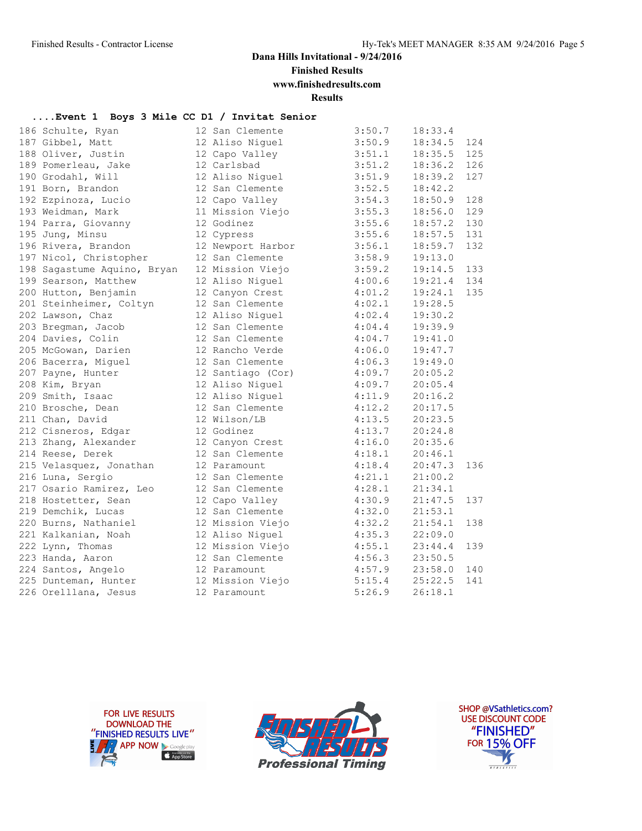**Finished Results**

**www.finishedresults.com**

**Results**

#### **....Event 1 Boys 3 Mile CC D1 / Invitat Senior**

| 186 Schulte, Ryan           | 12 San Clemente   | 3:50.7 | 18:33.4 |     |
|-----------------------------|-------------------|--------|---------|-----|
| 187 Gibbel, Matt            | 12 Aliso Niquel   | 3:50.9 | 18:34.5 | 124 |
| 188 Oliver, Justin          | 12 Capo Valley    | 3:51.1 | 18:35.5 | 125 |
| 189 Pomerleau, Jake         | 12 Carlsbad       | 3:51.2 | 18:36.2 | 126 |
| 190 Grodahl, Will           | 12 Aliso Niguel   | 3:51.9 | 18:39.2 | 127 |
| 191 Born, Brandon           | 12 San Clemente   | 3:52.5 | 18:42.2 |     |
| 192 Ezpinoza, Lucio         | 12 Capo Valley    | 3:54.3 | 18:50.9 | 128 |
| 193 Weidman, Mark           | 11 Mission Viejo  | 3:55.3 | 18:56.0 | 129 |
| 194 Parra, Giovanny         | 12 Godinez        | 3:55.6 | 18:57.2 | 130 |
| 195 Jung, Minsu             | 12 Cypress        | 3:55.6 | 18:57.5 | 131 |
| 196 Rivera, Brandon         | 12 Newport Harbor | 3:56.1 | 18:59.7 | 132 |
| 197 Nicol, Christopher      | 12 San Clemente   | 3:58.9 | 19:13.0 |     |
| 198 Sagastume Aquino, Bryan | 12 Mission Viejo  | 3:59.2 | 19:14.5 | 133 |
| 199 Searson, Matthew        | 12 Aliso Niquel   | 4:00.6 | 19:21.4 | 134 |
| 200 Hutton, Benjamin        | 12 Canyon Crest   | 4:01.2 | 19:24.1 | 135 |
| 201 Steinheimer, Coltyn     | 12 San Clemente   | 4:02.1 | 19:28.5 |     |
| 202 Lawson, Chaz            | 12 Aliso Niguel   | 4:02.4 | 19:30.2 |     |
| 203 Bregman, Jacob          | 12 San Clemente   | 4:04.4 | 19:39.9 |     |
| 204 Davies, Colin           | 12 San Clemente   | 4:04.7 | 19:41.0 |     |
| 205 McGowan, Darien         | 12 Rancho Verde   | 4:06.0 | 19:47.7 |     |
| 206 Bacerra, Miguel         | 12 San Clemente   | 4:06.3 | 19:49.0 |     |
| 207 Payne, Hunter           | 12 Santiago (Cor) | 4:09.7 | 20:05.2 |     |
| 208 Kim, Bryan              | 12 Aliso Niguel   | 4:09.7 | 20:05.4 |     |
| 209 Smith, Isaac            | 12 Aliso Niguel   | 4:11.9 | 20:16.2 |     |
| 210 Brosche, Dean           | 12 San Clemente   | 4:12.2 | 20:17.5 |     |
| 211 Chan, David             | 12 Wilson/LB      | 4:13.5 | 20:23.5 |     |
| 212 Cisneros, Edgar         | 12 Godinez        | 4:13.7 | 20:24.8 |     |
| 213 Zhang, Alexander        | 12 Canyon Crest   | 4:16.0 | 20:35.6 |     |
| 214 Reese, Derek            | 12 San Clemente   | 4:18.1 | 20:46.1 |     |
| 215 Velasquez, Jonathan     | 12 Paramount      | 4:18.4 | 20:47.3 | 136 |
| 216 Luna, Sergio            | 12 San Clemente   | 4:21.1 | 21:00.2 |     |
| 217 Osario Ramirez, Leo     | 12 San Clemente   | 4:28.1 | 21:34.1 |     |
| 218 Hostetter, Sean         | 12 Capo Valley    | 4:30.9 | 21:47.5 | 137 |
| 219 Demchik, Lucas          | 12 San Clemente   | 4:32.0 | 21:53.1 |     |
| 220 Burns, Nathaniel        | 12 Mission Viejo  | 4:32.2 | 21:54.1 | 138 |
| 221 Kalkanian, Noah         | 12 Aliso Niguel   | 4:35.3 | 22:09.0 |     |
| 222 Lynn, Thomas            | 12 Mission Viejo  | 4:55.1 | 23:44.4 | 139 |
| 223 Handa, Aaron            | 12 San Clemente   | 4:56.3 | 23:50.5 |     |
| 224 Santos, Angelo          | 12 Paramount      | 4:57.9 | 23:58.0 | 140 |
| 225 Dunteman, Hunter        | 12 Mission Viejo  | 5:15.4 | 25:22.5 | 141 |
| 226 Orelllana, Jesus        | 12 Paramount      | 5:26.9 | 26:18.1 |     |





SHOP @VSathletics.com? USE DISCOUNT CODE "FINISHED" **FOR 15% OFF** M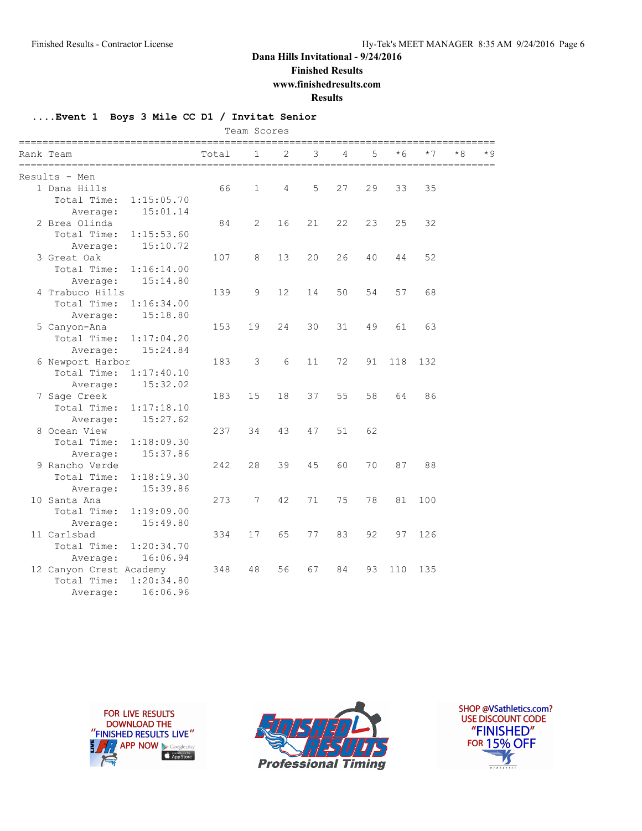**Finished Results**

**www.finishedresults.com**

**Results**

#### **....Event 1 Boys 3 Mile CC D1 / Invitat Senior**

| Team Scores<br>================= |       |              |    |                                    |    |    |      |      |    |     |
|----------------------------------|-------|--------------|----|------------------------------------|----|----|------|------|----|-----|
| Rank Team                        | Total | 1            | 2  | 3<br>============================= | 4  | 5  | $*6$ | $*7$ | *8 | * 9 |
| Results - Men                    |       |              |    |                                    |    |    |      |      |    |     |
| 1 Dana Hills                     | 66    | $\mathbf{1}$ | 4  | 5                                  | 27 | 29 | 33   | 35   |    |     |
| Total Time:<br>1:15:05.70        |       |              |    |                                    |    |    |      |      |    |     |
| 15:01.14<br>Average:             |       |              |    |                                    |    |    |      |      |    |     |
| 2 Brea Olinda                    | 84    | 2            | 16 | 21                                 | 22 | 23 | 25   | 32   |    |     |
| Total Time:<br>1:15:53.60        |       |              |    |                                    |    |    |      |      |    |     |
| 15:10.72<br>Average:             |       |              |    |                                    |    |    |      |      |    |     |
| 3 Great Oak                      | 107   | 8            | 13 | 20                                 | 26 | 40 | 44   | 52   |    |     |
| Total Time:<br>1:16:14.00        |       |              |    |                                    |    |    |      |      |    |     |
| 15:14.80<br>Average:             |       |              |    |                                    |    |    |      |      |    |     |
| 4 Trabuco Hills                  | 139   | 9            | 12 | 14                                 | 50 | 54 | 57   | 68   |    |     |
| Total Time:<br>1:16:34.00        |       |              |    |                                    |    |    |      |      |    |     |
| 15:18.80<br>Average:             |       |              |    |                                    |    |    |      |      |    |     |
| 5 Canyon-Ana                     | 153   | 19           | 24 | 30                                 | 31 | 49 | 61   | 63   |    |     |
| Total Time:<br>1:17:04.20        |       |              |    |                                    |    |    |      |      |    |     |
| 15:24.84<br>Average:             |       |              |    |                                    |    |    |      |      |    |     |
| 6 Newport Harbor                 | 183   | 3            | 6  | 11                                 | 72 | 91 | 118  | 132  |    |     |
| Total Time:<br>1:17:40.10        |       |              |    |                                    |    |    |      |      |    |     |
| 15:32.02<br>Average:             |       |              |    |                                    |    |    |      |      |    |     |
| 7 Sage Creek                     | 183   | 15           | 18 | 37                                 | 55 | 58 | 64   | 86   |    |     |
| Total Time:<br>1:17:18.10        |       |              |    |                                    |    |    |      |      |    |     |
| 15:27.62<br>Average:             |       |              |    |                                    |    |    |      |      |    |     |
| 8 Ocean View                     | 237   | 34           | 43 | 47                                 | 51 | 62 |      |      |    |     |
| Total Time:<br>1:18:09.30        |       |              |    |                                    |    |    |      |      |    |     |
| 15:37.86<br>Average:             |       |              |    |                                    |    |    |      |      |    |     |
| 9 Rancho Verde                   | 242   | 28           | 39 | 45                                 | 60 | 70 | 87   | 88   |    |     |
| Total Time:<br>1:18:19.30        |       |              |    |                                    |    |    |      |      |    |     |
| 15:39.86<br>Average:             |       |              |    |                                    |    |    |      |      |    |     |
| 10 Santa Ana                     | 273   | 7            | 42 | 71                                 | 75 | 78 | 81   | 100  |    |     |
| Total Time:<br>1:19:09.00        |       |              |    |                                    |    |    |      |      |    |     |
| 15:49.80<br>Average:             |       |              |    |                                    |    |    |      |      |    |     |
| 11 Carlsbad                      | 334   | 17           | 65 | 77                                 | 83 | 92 | 97   | 126  |    |     |
| Total Time:<br>1:20:34.70        |       |              |    |                                    |    |    |      |      |    |     |
| 16:06.94<br>Average:             |       |              |    |                                    |    |    |      |      |    |     |
| 12 Canyon Crest Academy          | 348   | 48           | 56 | 67                                 | 84 | 93 | 110  | 135  |    |     |
| Total Time:<br>1:20:34.80        |       |              |    |                                    |    |    |      |      |    |     |
| 16:06.96<br>Average:             |       |              |    |                                    |    |    |      |      |    |     |





SHOP @VSathletics.com? USE DISCOUNT CODE "FINISHED" **FOR 15% OFF** M  $\frac{1}{\sqrt{181411111}}$